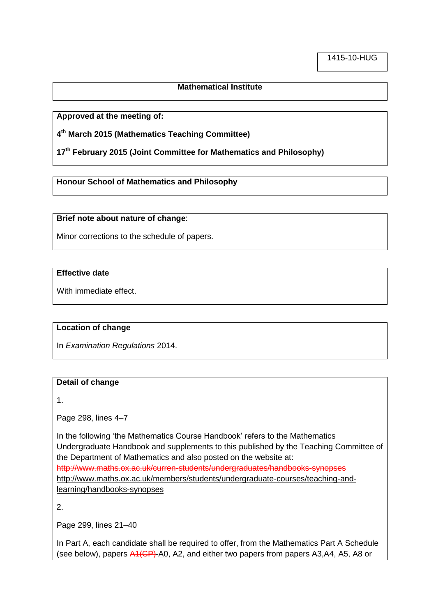### **Mathematical Institute**

**Approved at the meeting of:**

**4 th March 2015 (Mathematics Teaching Committee)**

**17th February 2015 (Joint Committee for Mathematics and Philosophy)**

**Honour School of Mathematics and Philosophy**

**Brief note about nature of change**:

Minor corrections to the schedule of papers.

# **Effective date**

With immediate effect.

### **Location of change**

In *Examination Regulations* 2014.

#### **Detail of change**

1.

Page 298, lines 4–7

In the following 'the Mathematics Course Handbook' refers to the Mathematics Undergraduate Handbook and supplements to this published by the Teaching Committee of the Department of Mathematics and also posted on the website at: http://www.maths.ox.ac.uk/curren-students/undergraduates/handbooks-synopses http://www.maths.ox.ac.uk/members/students/undergraduate-courses/teaching-andlearning/handbooks-synopses

2.

Page 299, lines 21–40

In Part A, each candidate shall be required to offer, from the Mathematics Part A Schedule (see below), papers  $A1$ (CP) A0, A2, and either two papers from papers A3, A4, A5, A8 or